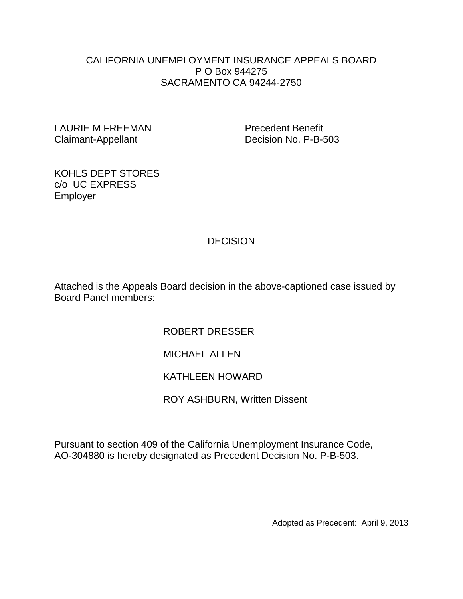#### CALIFORNIA UNEMPLOYMENT INSURANCE APPEALS BOARD P O Box 944275 SACRAMENTO CA 94244-2750

LAURIE M FREEMAN Precedent Benefit Claimant-Appellant Decision No. P-B-503

KOHLS DEPT STORES c/o UC EXPRESS Employer

# **DECISION**

Attached is the Appeals Board decision in the above-captioned case issued by Board Panel members:

ROBERT DRESSER

MICHAEL ALLEN

KATHLEEN HOWARD

ROY ASHBURN, Written Dissent

Pursuant to section 409 of the California Unemployment Insurance Code, AO-304880 is hereby designated as Precedent Decision No. P-B-503.

Adopted as Precedent: April 9, 2013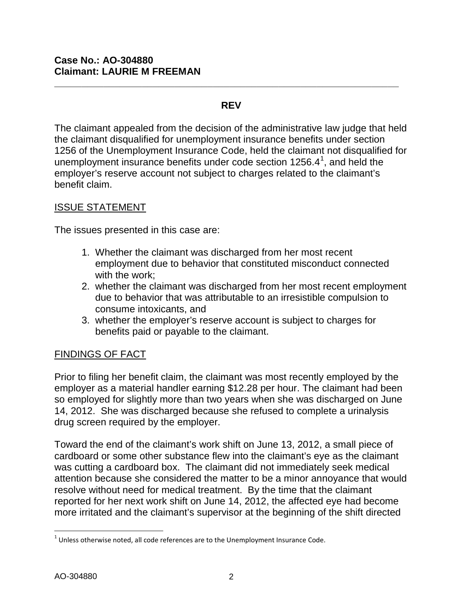### **REV**

**\_\_\_\_\_\_\_\_\_\_\_\_\_\_\_\_\_\_\_\_\_\_\_\_\_\_\_\_\_\_\_\_\_\_\_\_\_\_\_\_\_\_\_\_\_\_\_\_\_\_\_\_\_\_\_\_\_\_\_\_\_\_\_**

The claimant appealed from the decision of the administrative law judge that held the claimant disqualified for unemployment insurance benefits under section 1256 of the Unemployment Insurance Code, held the claimant not disqualified for unemployment insurance benefits under code section [1](#page-1-0)256.4 $^1$ , and held the employer's reserve account not subject to charges related to the claimant's benefit claim.

## ISSUE STATEMENT

The issues presented in this case are:

- 1. Whether the claimant was discharged from her most recent employment due to behavior that constituted misconduct connected with the work;
- 2. whether the claimant was discharged from her most recent employment due to behavior that was attributable to an irresistible compulsion to consume intoxicants, and
- 3. whether the employer's reserve account is subject to charges for benefits paid or payable to the claimant.

# FINDINGS OF FACT

Prior to filing her benefit claim, the claimant was most recently employed by the employer as a material handler earning \$12.28 per hour. The claimant had been so employed for slightly more than two years when she was discharged on June 14, 2012. She was discharged because she refused to complete a urinalysis drug screen required by the employer.

Toward the end of the claimant's work shift on June 13, 2012, a small piece of cardboard or some other substance flew into the claimant's eye as the claimant was cutting a cardboard box. The claimant did not immediately seek medical attention because she considered the matter to be a minor annoyance that would resolve without need for medical treatment. By the time that the claimant reported for her next work shift on June 14, 2012, the affected eye had become more irritated and the claimant's supervisor at the beginning of the shift directed

<span id="page-1-0"></span> $<sup>1</sup>$  Unless otherwise noted, all code references are to the Unemployment Insurance Code.</sup>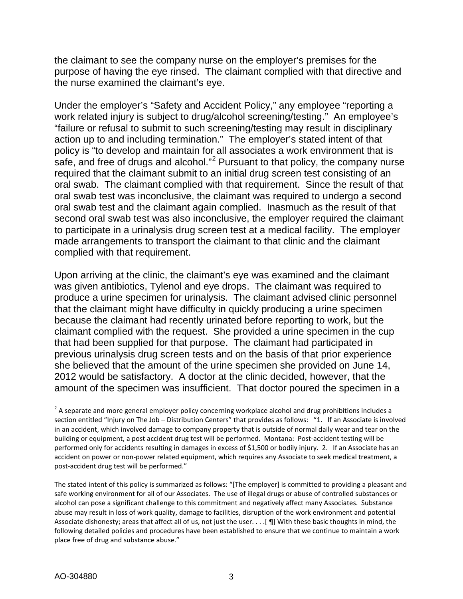the claimant to see the company nurse on the employer's premises for the purpose of having the eye rinsed. The claimant complied with that directive and the nurse examined the claimant's eye.

Under the employer's "Safety and Accident Policy," any employee "reporting a work related injury is subject to drug/alcohol screening/testing." An employee's "failure or refusal to submit to such screening/testing may result in disciplinary action up to and including termination." The employer's stated intent of that policy is "to develop and maintain for all associates a work environment that is safe, and free of drugs and alcohol."<sup>[2](#page-2-0)</sup> Pursuant to that policy, the company nurse required that the claimant submit to an initial drug screen test consisting of an oral swab. The claimant complied with that requirement. Since the result of that oral swab test was inconclusive, the claimant was required to undergo a second oral swab test and the claimant again complied. Inasmuch as the result of that second oral swab test was also inconclusive, the employer required the claimant to participate in a urinalysis drug screen test at a medical facility. The employer made arrangements to transport the claimant to that clinic and the claimant complied with that requirement.

Upon arriving at the clinic, the claimant's eye was examined and the claimant was given antibiotics, Tylenol and eye drops. The claimant was required to produce a urine specimen for urinalysis. The claimant advised clinic personnel that the claimant might have difficulty in quickly producing a urine specimen because the claimant had recently urinated before reporting to work, but the claimant complied with the request. She provided a urine specimen in the cup that had been supplied for that purpose. The claimant had participated in previous urinalysis drug screen tests and on the basis of that prior experience she believed that the amount of the urine specimen she provided on June 14, 2012 would be satisfactory. A doctor at the clinic decided, however, that the amount of the specimen was insufficient. That doctor poured the specimen in a

<span id="page-2-0"></span> $2$  A separate and more general employer policy concerning workplace alcohol and drug prohibitions includes a section entitled "Injury on The Job - Distribution Centers" that provides as follows: "1. If an Associate is involved in an accident, which involved damage to company property that is outside of normal daily wear and tear on the building or equipment, a post accident drug test will be performed. Montana: Post-accident testing will be performed only for accidents resulting in damages in excess of \$1,500 or bodily injury. 2. If an Associate has an accident on power or non-power related equipment, which requires any Associate to seek medical treatment, a post-accident drug test will be performed."

The stated intent of this policy is summarized as follows: "[The employer] is committed to providing a pleasant and safe working environment for all of our Associates. The use of illegal drugs or abuse of controlled substances or alcohol can pose a significant challenge to this commitment and negatively affect many Associates. Substance abuse may result in loss of work quality, damage to facilities, disruption of the work environment and potential Associate dishonesty; areas that affect all of us, not just the user. . . .[ ¶] With these basic thoughts in mind, the following detailed policies and procedures have been established to ensure that we continue to maintain a work place free of drug and substance abuse."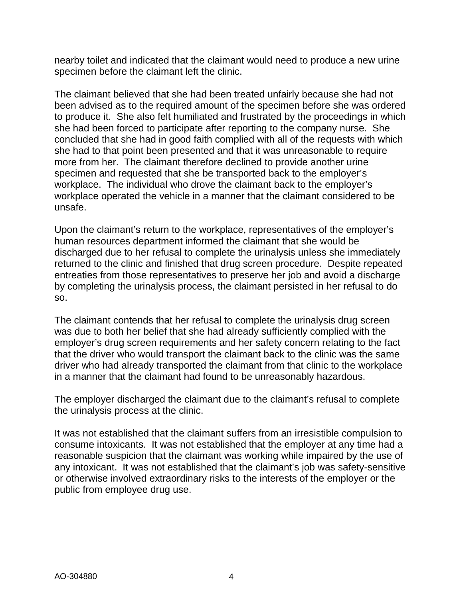nearby toilet and indicated that the claimant would need to produce a new urine specimen before the claimant left the clinic.

The claimant believed that she had been treated unfairly because she had not been advised as to the required amount of the specimen before she was ordered to produce it. She also felt humiliated and frustrated by the proceedings in which she had been forced to participate after reporting to the company nurse. She concluded that she had in good faith complied with all of the requests with which she had to that point been presented and that it was unreasonable to require more from her. The claimant therefore declined to provide another urine specimen and requested that she be transported back to the employer's workplace. The individual who drove the claimant back to the employer's workplace operated the vehicle in a manner that the claimant considered to be unsafe.

Upon the claimant's return to the workplace, representatives of the employer's human resources department informed the claimant that she would be discharged due to her refusal to complete the urinalysis unless she immediately returned to the clinic and finished that drug screen procedure. Despite repeated entreaties from those representatives to preserve her job and avoid a discharge by completing the urinalysis process, the claimant persisted in her refusal to do so.

The claimant contends that her refusal to complete the urinalysis drug screen was due to both her belief that she had already sufficiently complied with the employer's drug screen requirements and her safety concern relating to the fact that the driver who would transport the claimant back to the clinic was the same driver who had already transported the claimant from that clinic to the workplace in a manner that the claimant had found to be unreasonably hazardous.

The employer discharged the claimant due to the claimant's refusal to complete the urinalysis process at the clinic.

It was not established that the claimant suffers from an irresistible compulsion to consume intoxicants. It was not established that the employer at any time had a reasonable suspicion that the claimant was working while impaired by the use of any intoxicant. It was not established that the claimant's job was safety-sensitive or otherwise involved extraordinary risks to the interests of the employer or the public from employee drug use.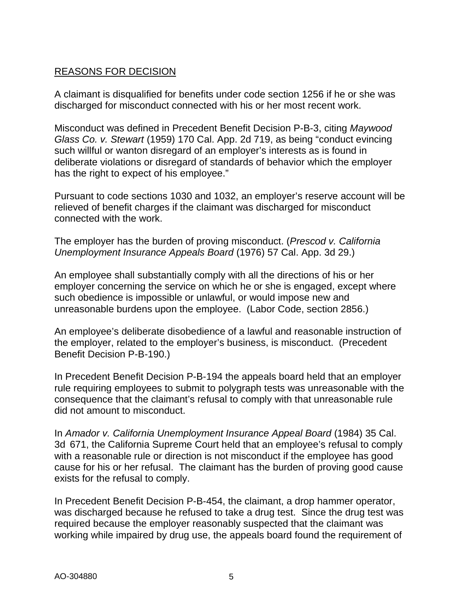# REASONS FOR DECISION

A claimant is disqualified for benefits under code section 1256 if he or she was discharged for misconduct connected with his or her most recent work.

Misconduct was defined in Precedent Benefit Decision P-B-3, citing *Maywood Glass Co. v. Stewart* (1959) 170 Cal. App. 2d 719, as being "conduct evincing such willful or wanton disregard of an employer's interests as is found in deliberate violations or disregard of standards of behavior which the employer has the right to expect of his employee."

Pursuant to code sections 1030 and 1032, an employer's reserve account will be relieved of benefit charges if the claimant was discharged for misconduct connected with the work.

The employer has the burden of proving misconduct. (*Prescod v. California Unemployment Insurance Appeals Board* (1976) 57 Cal. App. 3d 29.)

An employee shall substantially comply with all the directions of his or her employer concerning the service on which he or she is engaged, except where such obedience is impossible or unlawful, or would impose new and unreasonable burdens upon the employee. (Labor Code, section 2856.)

An employee's deliberate disobedience of a lawful and reasonable instruction of the employer, related to the employer's business, is misconduct. (Precedent Benefit Decision P-B-190.)

In Precedent Benefit Decision P-B-194 the appeals board held that an employer rule requiring employees to submit to polygraph tests was unreasonable with the consequence that the claimant's refusal to comply with that unreasonable rule did not amount to misconduct.

In *Amador v. California Unemployment Insurance Appeal Board* (1984) 35 Cal. 3d 671, the California Supreme Court held that an employee's refusal to comply with a reasonable rule or direction is not misconduct if the employee has good cause for his or her refusal. The claimant has the burden of proving good cause exists for the refusal to comply.

In Precedent Benefit Decision P-B-454, the claimant, a drop hammer operator, was discharged because he refused to take a drug test. Since the drug test was required because the employer reasonably suspected that the claimant was working while impaired by drug use, the appeals board found the requirement of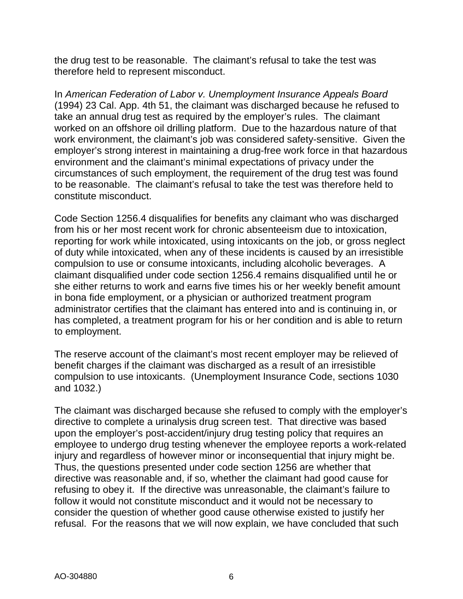the drug test to be reasonable. The claimant's refusal to take the test was therefore held to represent misconduct.

In *American Federation of Labor v. Unemployment Insurance Appeals Board* (1994) 23 Cal. App. 4th 51, the claimant was discharged because he refused to take an annual drug test as required by the employer's rules. The claimant worked on an offshore oil drilling platform. Due to the hazardous nature of that work environment, the claimant's job was considered safety-sensitive. Given the employer's strong interest in maintaining a drug-free work force in that hazardous environment and the claimant's minimal expectations of privacy under the circumstances of such employment, the requirement of the drug test was found to be reasonable. The claimant's refusal to take the test was therefore held to constitute misconduct.

Code Section 1256.4 disqualifies for benefits any claimant who was discharged from his or her most recent work for chronic absenteeism due to intoxication, reporting for work while intoxicated, using intoxicants on the job, or gross neglect of duty while intoxicated, when any of these incidents is caused by an irresistible compulsion to use or consume intoxicants, including alcoholic beverages. A claimant disqualified under code section 1256.4 remains disqualified until he or she either returns to work and earns five times his or her weekly benefit amount in bona fide employment, or a physician or authorized treatment program administrator certifies that the claimant has entered into and is continuing in, or has completed, a treatment program for his or her condition and is able to return to employment.

The reserve account of the claimant's most recent employer may be relieved of benefit charges if the claimant was discharged as a result of an irresistible compulsion to use intoxicants. (Unemployment Insurance Code, sections 1030 and 1032.)

The claimant was discharged because she refused to comply with the employer's directive to complete a urinalysis drug screen test. That directive was based upon the employer's post-accident/injury drug testing policy that requires an employee to undergo drug testing whenever the employee reports a work-related injury and regardless of however minor or inconsequential that injury might be. Thus, the questions presented under code section 1256 are whether that directive was reasonable and, if so, whether the claimant had good cause for refusing to obey it. If the directive was unreasonable, the claimant's failure to follow it would not constitute misconduct and it would not be necessary to consider the question of whether good cause otherwise existed to justify her refusal. For the reasons that we will now explain, we have concluded that such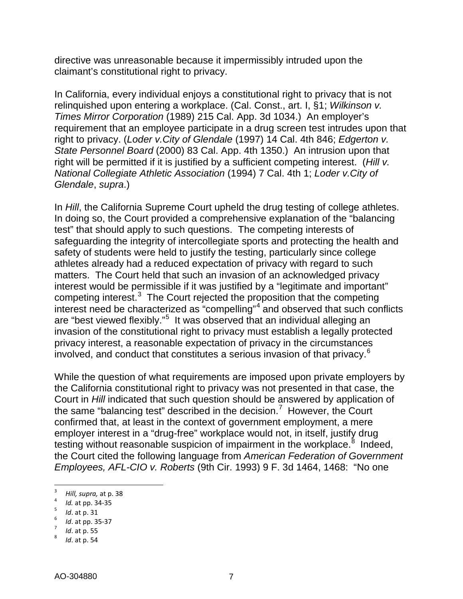directive was unreasonable because it impermissibly intruded upon the claimant's constitutional right to privacy.

In California, every individual enjoys a constitutional right to privacy that is not relinquished upon entering a workplace. (Cal. Const., art. I, §1; *Wilkinson v. Times Mirror Corporation* (1989) 215 Cal. App. 3d 1034.) An employer's requirement that an employee participate in a drug screen test intrudes upon that right to privacy. (*Loder v.City of Glendale* (1997) 14 Cal. 4th 846; *Edgerton v. State Personnel Board* (2000) 83 Cal. App. 4th 1350.) An intrusion upon that right will be permitted if it is justified by a sufficient competing interest. (*Hill v. National Collegiate Athletic Association* (1994) 7 Cal. 4th 1; *Loder v.City of Glendale*, *supra*.)

In *Hill*, the California Supreme Court upheld the drug testing of college athletes. In doing so, the Court provided a comprehensive explanation of the "balancing test" that should apply to such questions. The competing interests of safeguarding the integrity of intercollegiate sports and protecting the health and safety of students were held to justify the testing, particularly since college athletes already had a reduced expectation of privacy with regard to such matters. The Court held that such an invasion of an acknowledged privacy interest would be permissible if it was justified by a "legitimate and important" competing interest.<sup>[3](#page-6-0)</sup> The Court rejected the proposition that the competing interest need be characterized as "compelling"<sup>[4](#page-6-1)</sup> and observed that such conflicts are "best viewed flexibly."<sup>[5](#page-6-2)</sup> It was observed that an individual alleging an invasion of the constitutional right to privacy must establish a legally protected privacy interest, a reasonable expectation of privacy in the circumstances involved, and conduct that constitutes a serious invasion of that privacy.<sup>[6](#page-6-3)</sup>

While the question of what requirements are imposed upon private employers by the California constitutional right to privacy was not presented in that case, the Court in *Hill* indicated that such question should be answered by application of the same "balancing test" described in the decision.<sup>[7](#page-6-4)</sup> However, the Court confirmed that, at least in the context of government employment, a mere employer interest in a "drug-free" workplace would not, in itself, justify drug testing without reasonable suspicion of impairment in the workplace.<sup>[8](#page-6-5)</sup> Indeed, the Court cited the following language from *American Federation of Government Employees, AFL-CIO v. Roberts* (9th Cir. 1993) 9 F. 3d 1464, 1468: "No one

<span id="page-6-1"></span><span id="page-6-0"></span><sup>&</sup>lt;sup>3</sup>*Hill, supra,* at p. 38<br>
<sup>4</sup>*Id.* at pp. 34-35<br>
<sup>5</sup>*Id.* at p. 31<br>
<sup>6</sup>*Id.* at pp. 35-37

<span id="page-6-2"></span>

<span id="page-6-3"></span>

<span id="page-6-4"></span>*Id.* at p. 55

<span id="page-6-5"></span>*Id*. at p. 54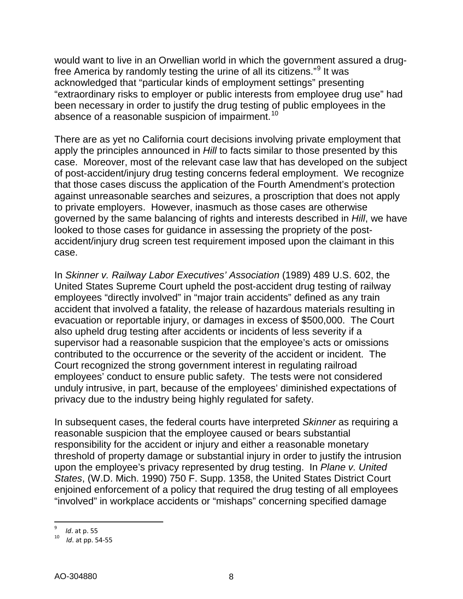would want to live in an Orwellian world in which the government assured a drugfree America by randomly testing the urine of all its citizens."[9](#page-7-0) It was acknowledged that "particular kinds of employment settings" presenting "extraordinary risks to employer or public interests from employee drug use" had been necessary in order to justify the drug testing of public employees in the absence of a reasonable suspicion of impairment.<sup>[10](#page-7-1)</sup>

There are as yet no California court decisions involving private employment that apply the principles announced in *Hill* to facts similar to those presented by this case. Moreover, most of the relevant case law that has developed on the subject of post-accident/injury drug testing concerns federal employment. We recognize that those cases discuss the application of the Fourth Amendment's protection against unreasonable searches and seizures, a proscription that does not apply to private employers. However, inasmuch as those cases are otherwise governed by the same balancing of rights and interests described in *Hill*, we have looked to those cases for guidance in assessing the propriety of the postaccident/injury drug screen test requirement imposed upon the claimant in this case.

In *Skinner v. Railway Labor Executives' Association* (1989) 489 U.S. 602, the United States Supreme Court upheld the post-accident drug testing of railway employees "directly involved" in "major train accidents" defined as any train accident that involved a fatality, the release of hazardous materials resulting in evacuation or reportable injury, or damages in excess of \$500,000. The Court also upheld drug testing after accidents or incidents of less severity if a supervisor had a reasonable suspicion that the employee's acts or omissions contributed to the occurrence or the severity of the accident or incident. The Court recognized the strong government interest in regulating railroad employees' conduct to ensure public safety. The tests were not considered unduly intrusive, in part, because of the employees' diminished expectations of privacy due to the industry being highly regulated for safety.

In subsequent cases, the federal courts have interpreted *Skinner* as requiring a reasonable suspicion that the employee caused or bears substantial responsibility for the accident or injury and either a reasonable monetary threshold of property damage or substantial injury in order to justify the intrusion upon the employee's privacy represented by drug testing. In *Plane v. United States*, (W.D. Mich. 1990) 750 F. Supp. 1358, the United States District Court enjoined enforcement of a policy that required the drug testing of all employees "involved" in workplace accidents or "mishaps" concerning specified damage

<sup>-&</sup>lt;br>9

<span id="page-7-1"></span><span id="page-7-0"></span><sup>&</sup>lt;sup>9</sup> *Id.* at p. 55<br><sup>10</sup> *Id.* at pp. 54-55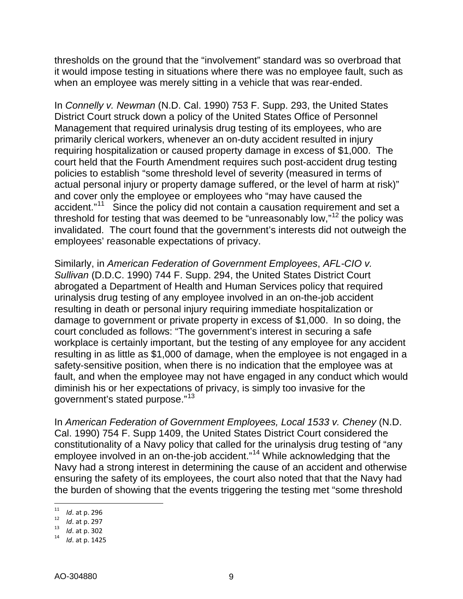thresholds on the ground that the "involvement" standard was so overbroad that it would impose testing in situations where there was no employee fault, such as when an employee was merely sitting in a vehicle that was rear-ended.

In *Connelly v. Newman* (N.D. Cal. 1990) 753 F. Supp. 293, the United States District Court struck down a policy of the United States Office of Personnel Management that required urinalysis drug testing of its employees, who are primarily clerical workers, whenever an on-duty accident resulted in injury requiring hospitalization or caused property damage in excess of \$1,000. The court held that the Fourth Amendment requires such post-accident drug testing policies to establish "some threshold level of severity (measured in terms of actual personal injury or property damage suffered, or the level of harm at risk)" and cover only the employee or employees who "may have caused the accident."<sup>[11](#page-8-0)</sup> Since the policy did not contain a causation requirement and set a threshold for testing that was deemed to be "unreasonably low," $12$  the policy was invalidated. The court found that the government's interests did not outweigh the employees' reasonable expectations of privacy.

Similarly, in *American Federation of Government Employees*, *AFL-CIO v. Sullivan* (D.D.C. 1990) 744 F. Supp. 294, the United States District Court abrogated a Department of Health and Human Services policy that required urinalysis drug testing of any employee involved in an on-the-job accident resulting in death or personal injury requiring immediate hospitalization or damage to government or private property in excess of \$1,000. In so doing, the court concluded as follows: "The government's interest in securing a safe workplace is certainly important, but the testing of any employee for any accident resulting in as little as \$1,000 of damage, when the employee is not engaged in a safety-sensitive position, when there is no indication that the employee was at fault, and when the employee may not have engaged in any conduct which would diminish his or her expectations of privacy, is simply too invasive for the government's stated purpose."[13](#page-8-2)

In *American Federation of Government Employees, Local 1533 v. Cheney* (N.D. Cal. 1990) 754 F. Supp 1409, the United States District Court considered the constitutionality of a Navy policy that called for the urinalysis drug testing of "any employee involved in an on-the-job accident."[14](#page-8-3) While acknowledging that the Navy had a strong interest in determining the cause of an accident and otherwise ensuring the safety of its employees, the court also noted that that the Navy had the burden of showing that the events triggering the testing met "some threshold

<span id="page-8-1"></span><span id="page-8-0"></span><sup>11&</sup>lt;br>12<br>*Id.* at p. 297<br>13<br>1*Id.* at p. 1425

<span id="page-8-3"></span><span id="page-8-2"></span>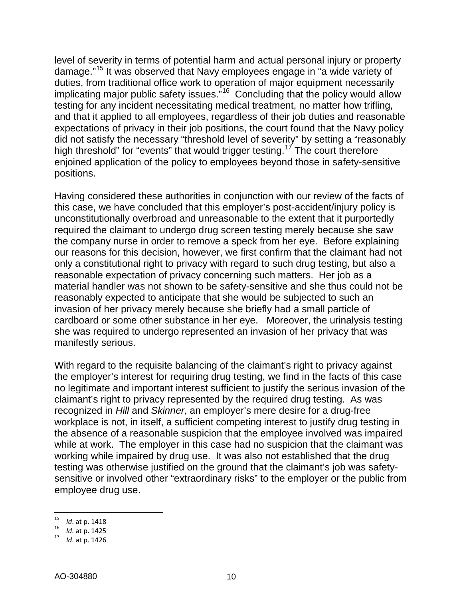level of severity in terms of potential harm and actual personal injury or property damage."[15](#page-9-0) It was observed that Navy employees engage in "a wide variety of duties, from traditional office work to operation of major equipment necessarily implicating major public safety issues.<sup>"16</sup> Concluding that the policy would allow testing for any incident necessitating medical treatment, no matter how trifling, and that it applied to all employees, regardless of their job duties and reasonable expectations of privacy in their job positions, the court found that the Navy policy did not satisfy the necessary "threshold level of severity" by setting a "reasonably high threshold" for "events" that would trigger testing.<sup>[17](#page-9-2)</sup> The court therefore enjoined application of the policy to employees beyond those in safety-sensitive positions.

Having considered these authorities in conjunction with our review of the facts of this case, we have concluded that this employer's post-accident/injury policy is unconstitutionally overbroad and unreasonable to the extent that it purportedly required the claimant to undergo drug screen testing merely because she saw the company nurse in order to remove a speck from her eye. Before explaining our reasons for this decision, however, we first confirm that the claimant had not only a constitutional right to privacy with regard to such drug testing, but also a reasonable expectation of privacy concerning such matters. Her job as a material handler was not shown to be safety-sensitive and she thus could not be reasonably expected to anticipate that she would be subjected to such an invasion of her privacy merely because she briefly had a small particle of cardboard or some other substance in her eye. Moreover, the urinalysis testing she was required to undergo represented an invasion of her privacy that was manifestly serious.

With regard to the requisite balancing of the claimant's right to privacy against the employer's interest for requiring drug testing, we find in the facts of this case no legitimate and important interest sufficient to justify the serious invasion of the claimant's right to privacy represented by the required drug testing. As was recognized in *Hill* and *Skinner*, an employer's mere desire for a drug-free workplace is not, in itself, a sufficient competing interest to justify drug testing in the absence of a reasonable suspicion that the employee involved was impaired while at work. The employer in this case had no suspicion that the claimant was working while impaired by drug use. It was also not established that the drug testing was otherwise justified on the ground that the claimant's job was safetysensitive or involved other "extraordinary risks" to the employer or the public from employee drug use.

<span id="page-9-1"></span><span id="page-9-0"></span><sup>15</sup>*Id*. at p. 1418 <sup>16</sup>*Id*. at p. 1425 <sup>17</sup>*Id*. at p. 1426

<span id="page-9-2"></span>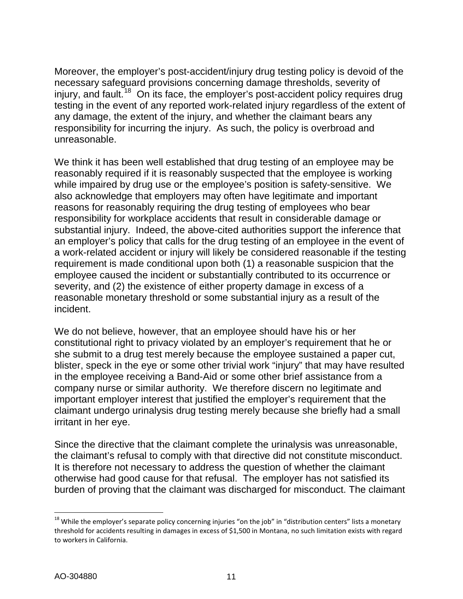Moreover, the employer's post-accident/injury drug testing policy is devoid of the necessary safeguard provisions concerning damage thresholds, severity of injury, and fault.<sup>18</sup> On its face, the employer's post-accident policy requires drug testing in the event of any reported work-related injury regardless of the extent of any damage, the extent of the injury, and whether the claimant bears any responsibility for incurring the injury. As such, the policy is overbroad and unreasonable.

We think it has been well established that drug testing of an employee may be reasonably required if it is reasonably suspected that the employee is working while impaired by drug use or the employee's position is safety-sensitive. We also acknowledge that employers may often have legitimate and important reasons for reasonably requiring the drug testing of employees who bear responsibility for workplace accidents that result in considerable damage or substantial injury. Indeed, the above-cited authorities support the inference that an employer's policy that calls for the drug testing of an employee in the event of a work-related accident or injury will likely be considered reasonable if the testing requirement is made conditional upon both (1) a reasonable suspicion that the employee caused the incident or substantially contributed to its occurrence or severity, and (2) the existence of either property damage in excess of a reasonable monetary threshold or some substantial injury as a result of the incident.

We do not believe, however, that an employee should have his or her constitutional right to privacy violated by an employer's requirement that he or she submit to a drug test merely because the employee sustained a paper cut, blister, speck in the eye or some other trivial work "injury" that may have resulted in the employee receiving a Band-Aid or some other brief assistance from a company nurse or similar authority. We therefore discern no legitimate and important employer interest that justified the employer's requirement that the claimant undergo urinalysis drug testing merely because she briefly had a small irritant in her eye.

Since the directive that the claimant complete the urinalysis was unreasonable, the claimant's refusal to comply with that directive did not constitute misconduct. It is therefore not necessary to address the question of whether the claimant otherwise had good cause for that refusal. The employer has not satisfied its burden of proving that the claimant was discharged for misconduct. The claimant

<span id="page-10-0"></span> $18$  While the employer's separate policy concerning injuries "on the job" in "distribution centers" lists a monetary threshold for accidents resulting in damages in excess of \$1,500 in Montana, no such limitation exists with regard to workers in California.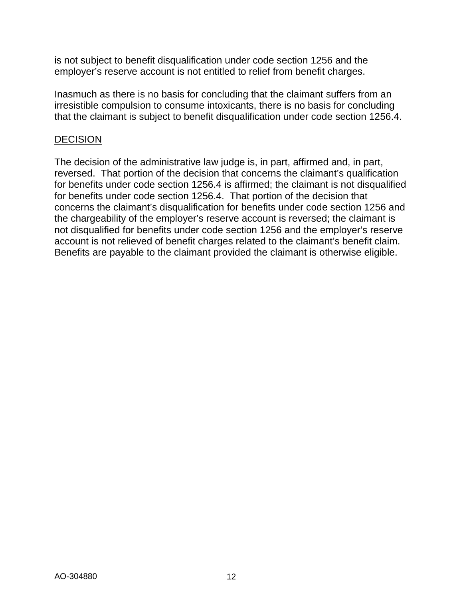is not subject to benefit disqualification under code section 1256 and the employer's reserve account is not entitled to relief from benefit charges.

Inasmuch as there is no basis for concluding that the claimant suffers from an irresistible compulsion to consume intoxicants, there is no basis for concluding that the claimant is subject to benefit disqualification under code section 1256.4.

#### DECISION

The decision of the administrative law judge is, in part, affirmed and, in part, reversed. That portion of the decision that concerns the claimant's qualification for benefits under code section 1256.4 is affirmed; the claimant is not disqualified for benefits under code section 1256.4. That portion of the decision that concerns the claimant's disqualification for benefits under code section 1256 and the chargeability of the employer's reserve account is reversed; the claimant is not disqualified for benefits under code section 1256 and the employer's reserve account is not relieved of benefit charges related to the claimant's benefit claim. Benefits are payable to the claimant provided the claimant is otherwise eligible.